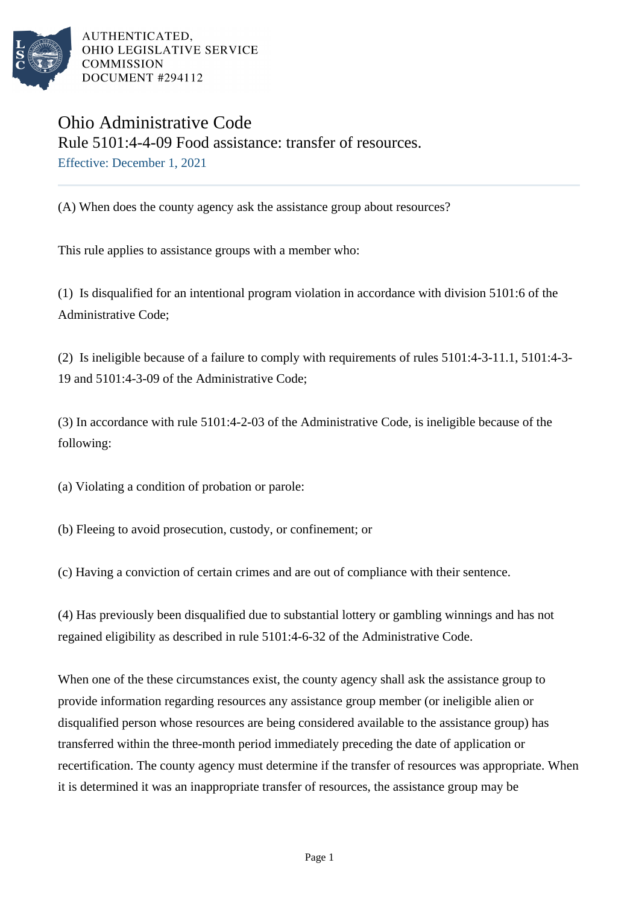

AUTHENTICATED. OHIO LEGISLATIVE SERVICE **COMMISSION** DOCUMENT #294112

## Ohio Administrative Code Rule 5101:4-4-09 Food assistance: transfer of resources. Effective: December 1, 2021

(A) When does the county agency ask the assistance group about resources?

This rule applies to assistance groups with a member who:

(1) Is disqualified for an intentional program violation in accordance with division 5101:6 of the Administrative Code;

(2) Is ineligible because of a failure to comply with requirements of rules 5101:4-3-11.1, 5101:4-3- 19 and 5101:4-3-09 of the Administrative Code;

(3) In accordance with rule 5101:4-2-03 of the Administrative Code, is ineligible because of the following:

(a) Violating a condition of probation or parole:

(b) Fleeing to avoid prosecution, custody, or confinement; or

(c) Having a conviction of certain crimes and are out of compliance with their sentence.

(4) Has previously been disqualified due to substantial lottery or gambling winnings and has not regained eligibility as described in rule 5101:4-6-32 of the Administrative Code.

When one of the these circumstances exist, the county agency shall ask the assistance group to provide information regarding resources any assistance group member (or ineligible alien or disqualified person whose resources are being considered available to the assistance group) has transferred within the three-month period immediately preceding the date of application or recertification. The county agency must determine if the transfer of resources was appropriate. When it is determined it was an inappropriate transfer of resources, the assistance group may be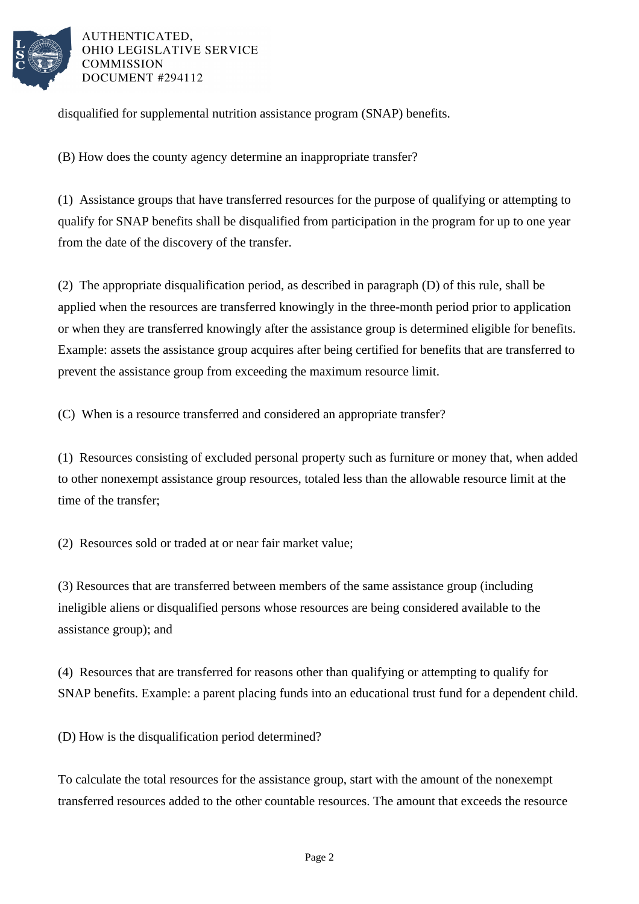

AUTHENTICATED, OHIO LEGISLATIVE SERVICE **COMMISSION** DOCUMENT #294112

disqualified for supplemental nutrition assistance program (SNAP) benefits.

(B) How does the county agency determine an inappropriate transfer?

(1) Assistance groups that have transferred resources for the purpose of qualifying or attempting to qualify for SNAP benefits shall be disqualified from participation in the program for up to one year from the date of the discovery of the transfer.

(2) The appropriate disqualification period, as described in paragraph (D) of this rule, shall be applied when the resources are transferred knowingly in the three-month period prior to application or when they are transferred knowingly after the assistance group is determined eligible for benefits. Example: assets the assistance group acquires after being certified for benefits that are transferred to prevent the assistance group from exceeding the maximum resource limit.

(C) When is a resource transferred and considered an appropriate transfer?

(1) Resources consisting of excluded personal property such as furniture or money that, when added to other nonexempt assistance group resources, totaled less than the allowable resource limit at the time of the transfer;

(2) Resources sold or traded at or near fair market value;

(3) Resources that are transferred between members of the same assistance group (including ineligible aliens or disqualified persons whose resources are being considered available to the assistance group); and

(4) Resources that are transferred for reasons other than qualifying or attempting to qualify for SNAP benefits. Example: a parent placing funds into an educational trust fund for a dependent child.

(D) How is the disqualification period determined?

To calculate the total resources for the assistance group, start with the amount of the nonexempt transferred resources added to the other countable resources. The amount that exceeds the resource